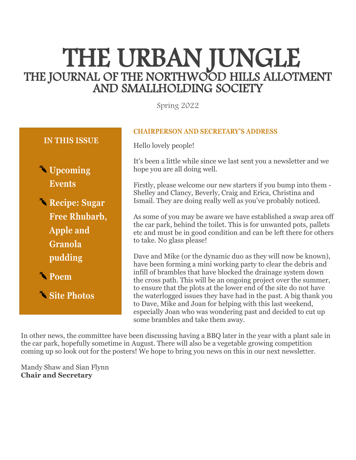# THE URBAN JUNGLE THE JOURNAL OF THE NORTHWOOD HILLS ALLOTMENT AND SMALLHOLDING SOCIETY

Spring 2022

# **IN THIS ISSUE**

**Upcoming Events**

**Recipe: Sugar Free Rhubarb, Apple and Granola pudding**

**Poem**

**Site Photos**

#### **CHAIRPERSON AND SECRETARY'S ADDRESS**

Hello lovely people!

It's been a little while since we last sent you a newsletter and we hope you are all doing well.

Firstly, please welcome our new starters if you bump into them - Shelley and Clancy, Beverly, Craig and Erica, Christina and Ismail. They are doing really well as you've probably noticed.

As some of you may be aware we have established a swap area off the car park, behind the toilet. This is for unwanted pots, pallets etc and must be in good condition and can be left there for others to take. No glass please!

Dave and Mike (or the dynamic duo as they will now be known), have been forming a mini working party to clear the debris and infill of brambles that have blocked the drainage system down the cross path. This will be an ongoing project over the summer, to ensure that the plots at the lower end of the site do not have the waterlogged issues they have had in the past. A big thank you to Dave, Mike and Joan for helping with this last weekend, especially Joan who was wondering past and decided to cut up some brambles and take them away.

In other news, the committee have been discussing having a BBQ later in the year with a plant sale in the car park, hopefully sometime in August. There will also be a vegetable growing competition coming up so look out for the posters! We hope to bring you news on this in our next newsletter.

Mandy Shaw and Sian Flynn **Chair and Secretary**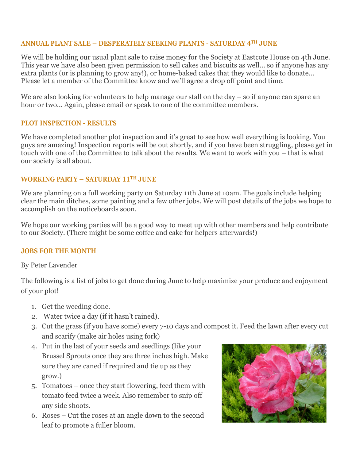### **ANNUAL PLANT SALE – DESPERATELY SEEKING PLANTS - SATURDAY 4TH JUNE**

We will be holding our usual plant sale to raise money for the Society at Eastcote House on 4th June. This year we have also been given permission to sell cakes and biscuits as well… so if anyone has any extra plants (or is planning to grow any!), or home-baked cakes that they would like to donate… Please let a member of the Committee know and we'll agree a drop off point and time.

We are also looking for volunteers to help manage our stall on the day – so if anyone can spare an hour or two... Again, please email or speak to one of the committee members.

#### **PLOT INSPECTION - RESULTS**

We have completed another plot inspection and it's great to see how well everything is looking. You guys are amazing! Inspection reports will be out shortly, and if you have been struggling, please get in touch with one of the Committee to talk about the results. We want to work with you – that is what our society is all about.

#### **WORKING PARTY – SATURDAY 11TH JUNE**

We are planning on a full working party on Saturday 11th June at 10am. The goals include helping clear the main ditches, some painting and a few other jobs. We will post details of the jobs we hope to accomplish on the noticeboards soon.

We hope our working parties will be a good way to meet up with other members and help contribute to our Society. (There might be some coffee and cake for helpers afterwards!)

#### **JOBS FOR THE MONTH**

By Peter Lavender

The following is a list of jobs to get done during June to help maximize your produce and enjoyment of your plot!

- 1. Get the weeding done.
- 2. Water twice a day (if it hasn't rained).
- 3. Cut the grass (if you have some) every 7-10 days and compost it. Feed the lawn after every cut and scarify (make air holes using fork)
- 4. Put in the last of your seeds and seedlings (like your Brussel Sprouts once they are three inches high. Make sure they are caned if required and tie up as they grow.)
- 5. Tomatoes once they start flowering, feed them with tomato feed twice a week. Also remember to snip off any side shoots.
- 6. Roses Cut the roses at an angle down to the second leaf to promote a fuller bloom.

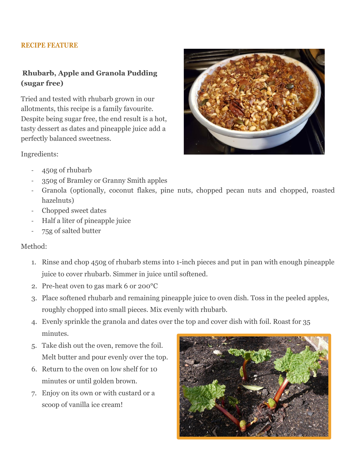#### **RECIPE FEATURE**

# **Rhubarb, Apple and Granola Pudding (sugar free)**

Tried and tested with rhubarb grown in our allotments, this recipe is a family favourite. Despite being sugar free, the end result is a hot, tasty dessert as dates and pineapple juice add a perfectly balanced sweetness.

Ingredients:



- 450g of rhubarb
- 350g of Bramley or Granny Smith apples
- Granola (optionally, coconut flakes, pine nuts, chopped pecan nuts and chopped, roasted hazelnuts)
- Chopped sweet dates
- Half a liter of pineapple juice
- 75g of salted butter

# Method:

- 1. Rinse and chop 450g of rhubarb stems into 1-inch pieces and put in pan with enough pineapple juice to cover rhubarb. Simmer in juice until softened.
- 2. Pre-heat oven to gas mark 6 or 200°C
- 3. Place softened rhubarb and remaining pineapple juice to oven dish. Toss in the peeled apples, roughly chopped into small pieces. Mix evenly with rhubarb.
- 4. Evenly sprinkle the granola and dates over the top and cover dish with foil. Roast for 35 minutes.
- 5. Take dish out the oven, remove the foil. Melt butter and pour evenly over the top.
- 6. Return to the oven on low shelf for 10 minutes or until golden brown.
- 7. Enjoy on its own or with custard or a scoop of vanilla ice cream!

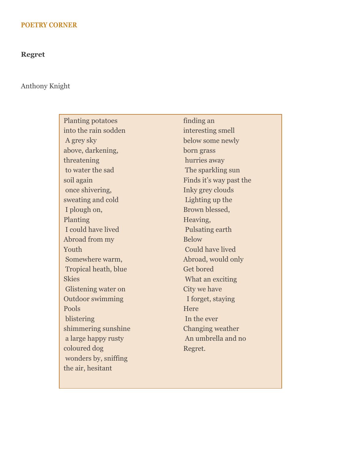#### **POETRY CORNER**

#### **Regret**

#### Anthony Knight

Planting potatoes into the rain sodden A grey sky above, darkening, threatening to water the sad soil again once shivering, sweating and cold I plough on, Planting I could have lived Abroad from my Youth Somewhere warm, Tropical heath, blue **Skies** Glistening water on Outdoor swimming Pools blistering shimmering sunshine a large happy rusty coloured dog wonders by, sniffing the air, hesitant

finding an interesting smell below some newly born grass hurries away The sparkling sun Finds it's way past the Inky grey clouds Lighting up the Brown blessed, Heaving, Pulsating earth Below Could have lived Abroad, would only Get bored What an exciting City we have I forget, staying Here In the ever Changing weather An umbrella and no Regret.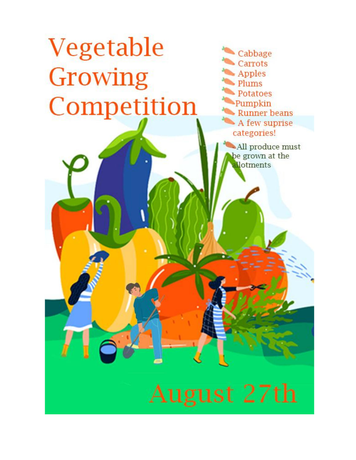# Vegetable Growing Competition

П

Cabbage **Carrots Apples** Plums Potatoes Pumpkin Runner beans A few suprise categories!

All produce must be grown at the **allotments** 

August 27th